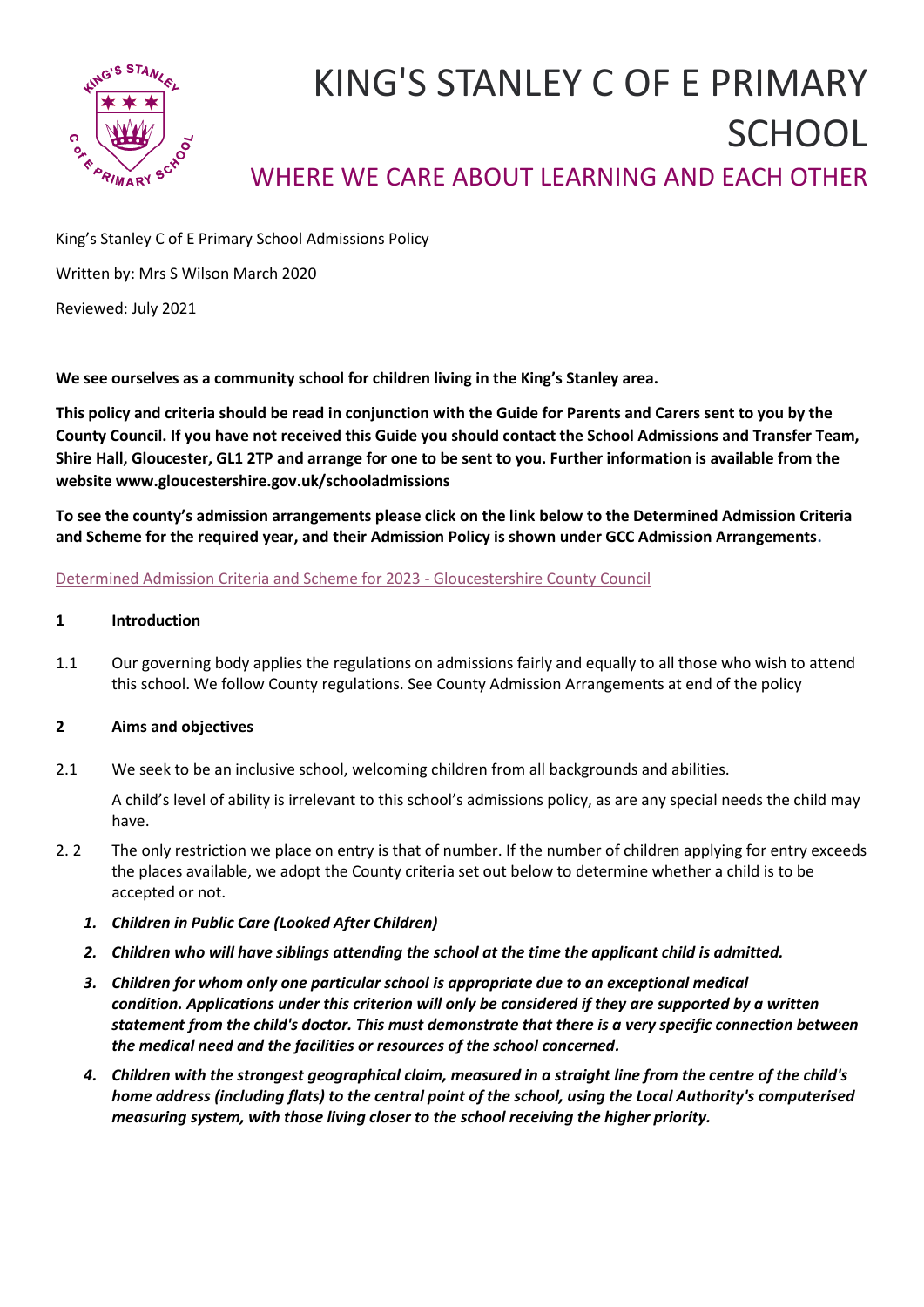

# KING'S STANLEY C OF E PRIMARY **SCHOOL** WHERE WE CARE ABOUT LEARNING AND EACH OTHER

King's Stanley C of E Primary School Admissions Policy

Written by: Mrs S Wilson March 2020

Reviewed: July 2021

**We see ourselves as a community school for children living in the King's Stanley area.** 

**This policy and criteria should be read in conjunction with the Guide for Parents and Carers sent to you by the County Council. If you have not received this Guide you should contact the School Admissions and Transfer Team, Shire Hall, Gloucester, GL1 2TP and arrange for one to be sent to you. Further information is available from the website www.gloucestershire.gov.uk/schooladmissions** 

**To see the county's admission arrangements please click on the link below to the Determined Admission Criteria and Scheme for the required year, and their Admission Policy is shown under GCC Admission Arrangements.**

# [Determined Admission Criteria and Scheme for 2023 -](https://www.gloucestershire.gov.uk/education-and-learning/school-admissions-scheme-criteria-and-protocol/determined-admission-criteria-and-scheme-for-2023/) Gloucestershire County Council

# **1 Introduction**

1.1 Our governing body applies the regulations on admissions fairly and equally to all those who wish to attend this school. We follow County regulations. See County Admission Arrangements at end of the policy

# **2 Aims and objectives**

2.1 We seek to be an inclusive school, welcoming children from all backgrounds and abilities.

A child's level of ability is irrelevant to this school's admissions policy, as are any special needs the child may have.

- 2. 2 The only restriction we place on entry is that of number. If the number of children applying for entry exceeds the places available, we adopt the County criteria set out below to determine whether a child is to be accepted or not.
	- *1. Children in Public Care (Looked After Children)*
	- *2. Children who will have siblings attending the school at the time the applicant child is admitted.*
	- *3. Children for whom only one particular school is appropriate due to an exceptional medical condition. Applications under this criterion will only be considered if they are supported by a written statement from the child's doctor. This must demonstrate that there is a very specific connection between the medical need and the facilities or resources of the school concerned.*
	- *4. Children with the strongest geographical claim, measured in a straight line from the centre of the child's home address (including flats) to the central point of the school, using the Local Authority's computerised measuring system, with those living closer to the school receiving the higher priority.*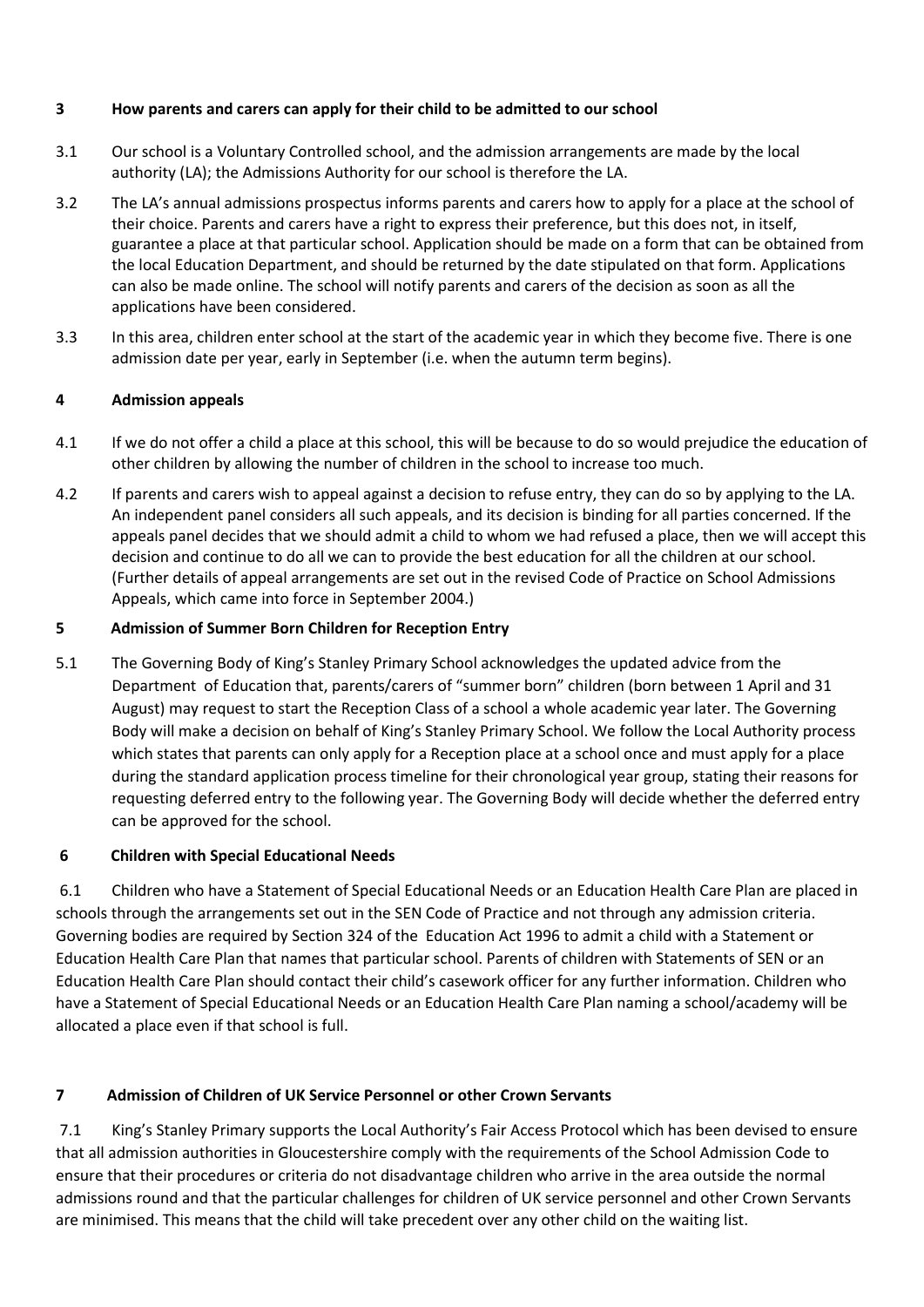# **3 How parents and carers can apply for their child to be admitted to our school**

- 3.1 Our school is a Voluntary Controlled school, and the admission arrangements are made by the local authority (LA); the Admissions Authority for our school is therefore the LA.
- 3.2 The LA's annual admissions prospectus informs parents and carers how to apply for a place at the school of their choice. Parents and carers have a right to express their preference, but this does not, in itself, guarantee a place at that particular school. Application should be made on a form that can be obtained from the local Education Department, and should be returned by the date stipulated on that form. Applications can also be made online. The school will notify parents and carers of the decision as soon as all the applications have been considered.
- 3.3 In this area, children enter school at the start of the academic year in which they become five. There is one admission date per year, early in September (i.e. when the autumn term begins).

# **4 Admission appeals**

- 4.1 If we do not offer a child a place at this school, this will be because to do so would prejudice the education of other children by allowing the number of children in the school to increase too much.
- 4.2 If parents and carers wish to appeal against a decision to refuse entry, they can do so by applying to the LA. An independent panel considers all such appeals, and its decision is binding for all parties concerned. If the appeals panel decides that we should admit a child to whom we had refused a place, then we will accept this decision and continue to do all we can to provide the best education for all the children at our school. (Further details of appeal arrangements are set out in the revised Code of Practice on School Admissions Appeals, which came into force in September 2004.)

# **5 Admission of Summer Born Children for Reception Entry**

5.1 The Governing Body of King's Stanley Primary School acknowledges the updated advice from the Department of Education that, parents/carers of "summer born" children (born between 1 April and 31 August) may request to start the Reception Class of a school a whole academic year later. The Governing Body will make a decision on behalf of King's Stanley Primary School. We follow the Local Authority process which states that parents can only apply for a Reception place at a school once and must apply for a place during the standard application process timeline for their chronological year group, stating their reasons for requesting deferred entry to the following year. The Governing Body will decide whether the deferred entry can be approved for the school.

# **6 Children with Special Educational Needs**

6.1 Children who have a Statement of Special Educational Needs or an Education Health Care Plan are placed in schools through the arrangements set out in the SEN Code of Practice and not through any admission criteria. Governing bodies are required by Section 324 of the Education Act 1996 to admit a child with a Statement or Education Health Care Plan that names that particular school. Parents of children with Statements of SEN or an Education Health Care Plan should contact their child's casework officer for any further information. Children who have a Statement of Special Educational Needs or an Education Health Care Plan naming a school/academy will be allocated a place even if that school is full.

# **7 Admission of Children of UK Service Personnel or other Crown Servants**

7.1 King's Stanley Primary supports the Local Authority's Fair Access Protocol which has been devised to ensure that all admission authorities in Gloucestershire comply with the requirements of the School Admission Code to ensure that their procedures or criteria do not disadvantage children who arrive in the area outside the normal admissions round and that the particular challenges for children of UK service personnel and other Crown Servants are minimised. This means that the child will take precedent over any other child on the waiting list.